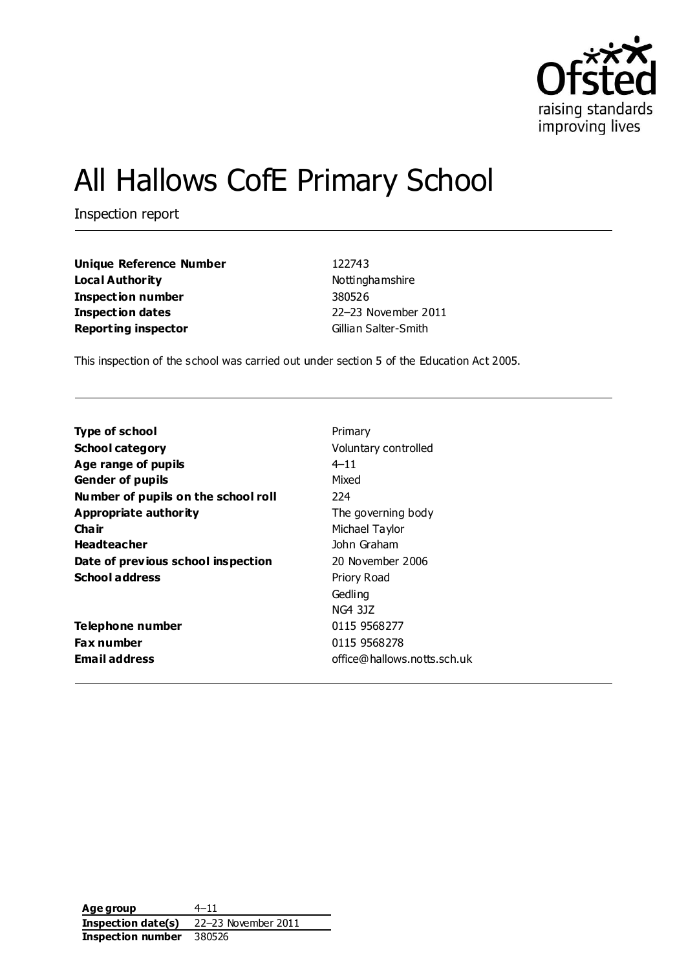

# All Hallows CofE Primary School

Inspection report

**Unique Reference Number** 122743 **Local Authority Nottinghamshire Inspection number** 380526 **Inspection dates** 22–23 November 2011 **Reporting inspector** Gillian Salter-Smith

This inspection of the school was carried out under section 5 of the Education Act 2005.

| <b>Type of school</b>               | Primary                     |
|-------------------------------------|-----------------------------|
| <b>School category</b>              | Voluntary controlled        |
| Age range of pupils                 | $4 - 11$                    |
| <b>Gender of pupils</b>             | Mixed                       |
| Number of pupils on the school roll | 224                         |
| Appropriate authority               | The governing body          |
| Cha ir                              | Michael Taylor              |
| <b>Headteacher</b>                  | John Graham                 |
| Date of previous school inspection  | 20 November 2006            |
| <b>School address</b>               | Priory Road                 |
|                                     | Gedling                     |
|                                     | NG4 3JZ                     |
| Telephone number                    | 0115 9568277                |
| <b>Fax number</b>                   | 0115 9568278                |
| <b>Email address</b>                | office@hallows.notts.sch.uk |
|                                     |                             |

**Age group** 4–11 **Inspection date(s)** 22–23 November 2011 **Inspection number** 380526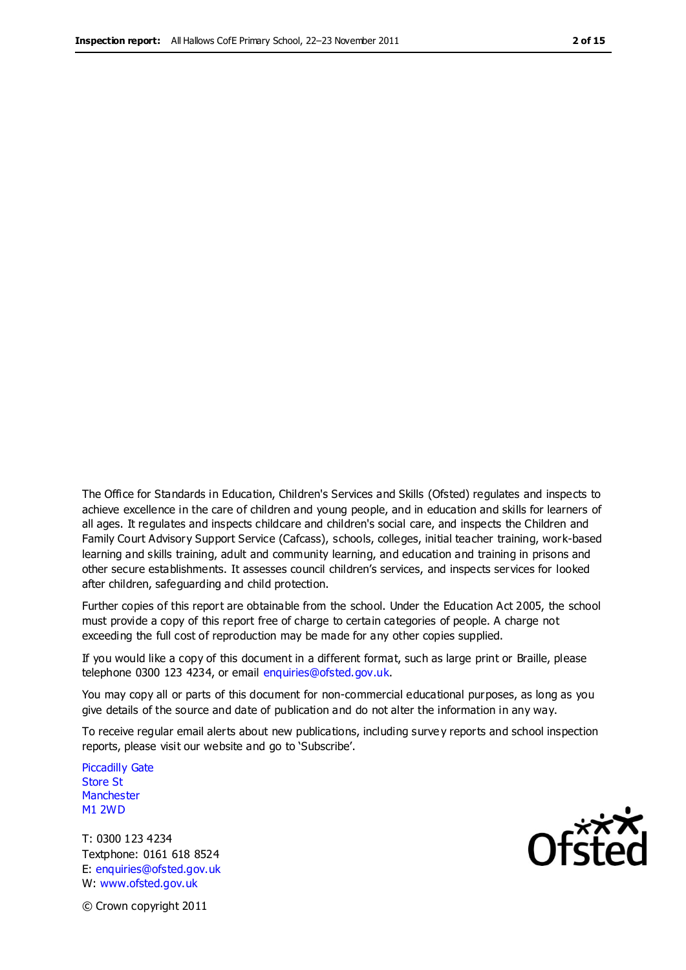The Office for Standards in Education, Children's Services and Skills (Ofsted) regulates and inspects to achieve excellence in the care of children and young people, and in education and skills for learners of all ages. It regulates and inspects childcare and children's social care, and inspects the Children and Family Court Advisory Support Service (Cafcass), schools, colleges, initial teacher training, work-based learning and skills training, adult and community learning, and education and training in prisons and other secure establishments. It assesses council children's services, and inspects services for looked after children, safeguarding and child protection.

Further copies of this report are obtainable from the school. Under the Education Act 2005, the school must provide a copy of this report free of charge to certain categories of people. A charge not exceeding the full cost of reproduction may be made for any other copies supplied.

If you would like a copy of this document in a different format, such as large print or Braille, please telephone 0300 123 4234, or email enquiries@ofsted.gov.uk.

You may copy all or parts of this document for non-commercial educational purposes, as long as you give details of the source and date of publication and do not alter the information in any way.

To receive regular email alerts about new publications, including surve y reports and school inspection reports, please visit our website and go to 'Subscribe'.

Piccadilly Gate Store St **Manchester** M1 2WD

T: 0300 123 4234 Textphone: 0161 618 8524 E: enquiries@ofsted.gov.uk W: www.ofsted.gov.uk

Ofsted

© Crown copyright 2011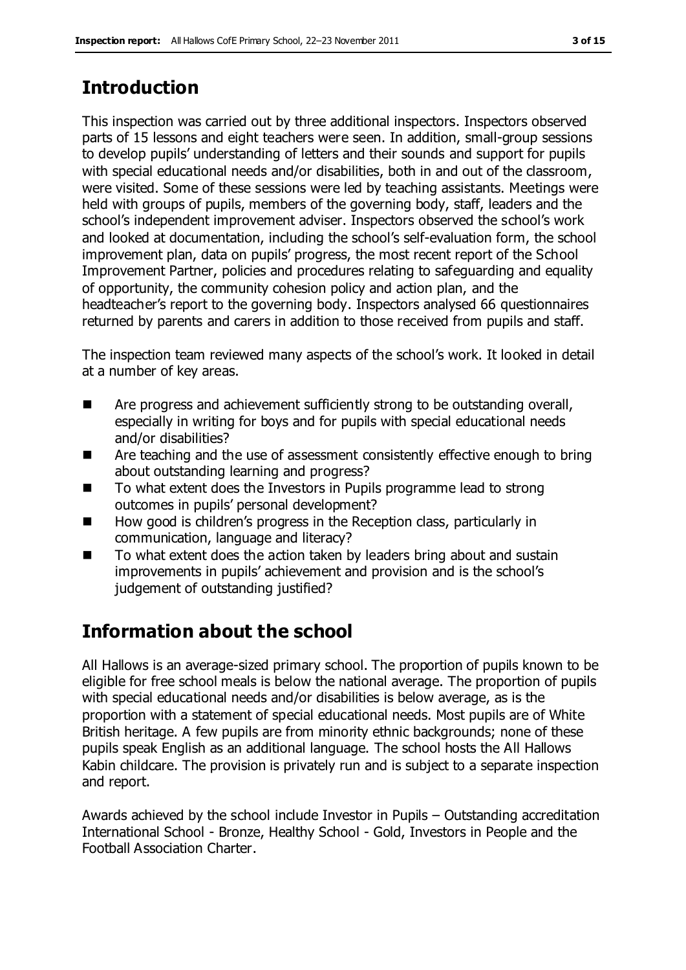# **Introduction**

This inspection was carried out by three additional inspectors. Inspectors observed parts of 15 lessons and eight teachers were seen. In addition, small-group sessions to develop pupils' understanding of letters and their sounds and support for pupils with special educational needs and/or disabilities, both in and out of the classroom, were visited. Some of these sessions were led by teaching assistants. Meetings were held with groups of pupils, members of the governing body, staff, leaders and the school's independent improvement adviser. Inspectors observed the school's work and looked at documentation, including the school's self-evaluation form, the school improvement plan, data on pupils' progress, the most recent report of the School Improvement Partner, policies and procedures relating to safeguarding and equality of opportunity, the community cohesion policy and action plan, and the headteacher's report to the governing body. Inspectors analysed 66 questionnaires returned by parents and carers in addition to those received from pupils and staff.

The inspection team reviewed many aspects of the school's work. It looked in detail at a number of key areas.

- Are progress and achievement sufficiently strong to be outstanding overall, especially in writing for boys and for pupils with special educational needs and/or disabilities?
- Are teaching and the use of assessment consistently effective enough to bring about outstanding learning and progress?
- To what extent does the Investors in Pupils programme lead to strong outcomes in pupils' personal development?
- How good is children's progress in the Reception class, particularly in communication, language and literacy?
- To what extent does the action taken by leaders bring about and sustain improvements in pupils' achievement and provision and is the school's judgement of outstanding justified?

# **Information about the school**

All Hallows is an average-sized primary school. The proportion of pupils known to be eligible for free school meals is below the national average. The proportion of pupils with special educational needs and/or disabilities is below average, as is the proportion with a statement of special educational needs. Most pupils are of White British heritage. A few pupils are from minority ethnic backgrounds; none of these pupils speak English as an additional language. The school hosts the All Hallows Kabin childcare. The provision is privately run and is subject to a separate inspection and report.

Awards achieved by the school include Investor in Pupils – Outstanding accreditation International School - Bronze, Healthy School - Gold, Investors in People and the Football Association Charter.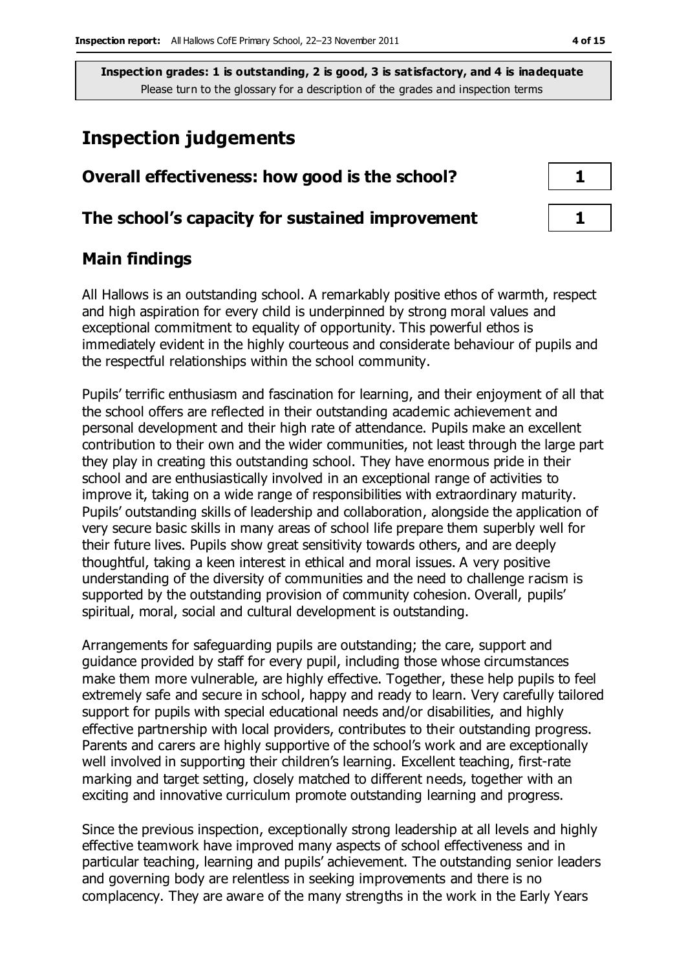## **Inspection judgements**

| Overall effectiveness: how good is the school?  |  |
|-------------------------------------------------|--|
| The school's capacity for sustained improvement |  |

### **Main findings**

All Hallows is an outstanding school. A remarkably positive ethos of warmth, respect and high aspiration for every child is underpinned by strong moral values and exceptional commitment to equality of opportunity. This powerful ethos is immediately evident in the highly courteous and considerate behaviour of pupils and the respectful relationships within the school community.

Pupils' terrific enthusiasm and fascination for learning, and their enjoyment of all that the school offers are reflected in their outstanding academic achievement and personal development and their high rate of attendance. Pupils make an excellent contribution to their own and the wider communities, not least through the large part they play in creating this outstanding school. They have enormous pride in their school and are enthusiastically involved in an exceptional range of activities to improve it, taking on a wide range of responsibilities with extraordinary maturity. Pupils' outstanding skills of leadership and collaboration, alongside the application of very secure basic skills in many areas of school life prepare them superbly well for their future lives. Pupils show great sensitivity towards others, and are deeply thoughtful, taking a keen interest in ethical and moral issues. A very positive understanding of the diversity of communities and the need to challenge racism is supported by the outstanding provision of community cohesion. Overall, pupils' spiritual, moral, social and cultural development is outstanding.

Arrangements for safeguarding pupils are outstanding; the care, support and guidance provided by staff for every pupil, including those whose circumstances make them more vulnerable, are highly effective. Together, these help pupils to feel extremely safe and secure in school, happy and ready to learn. Very carefully tailored support for pupils with special educational needs and/or disabilities, and highly effective partnership with local providers, contributes to their outstanding progress. Parents and carers are highly supportive of the school's work and are exceptionally well involved in supporting their children's learning. Excellent teaching, first-rate marking and target setting, closely matched to different needs, together with an exciting and innovative curriculum promote outstanding learning and progress.

Since the previous inspection, exceptionally strong leadership at all levels and highly effective teamwork have improved many aspects of school effectiveness and in particular teaching, learning and pupils' achievement. The outstanding senior leaders and governing body are relentless in seeking improvements and there is no complacency. They are aware of the many strengths in the work in the Early Years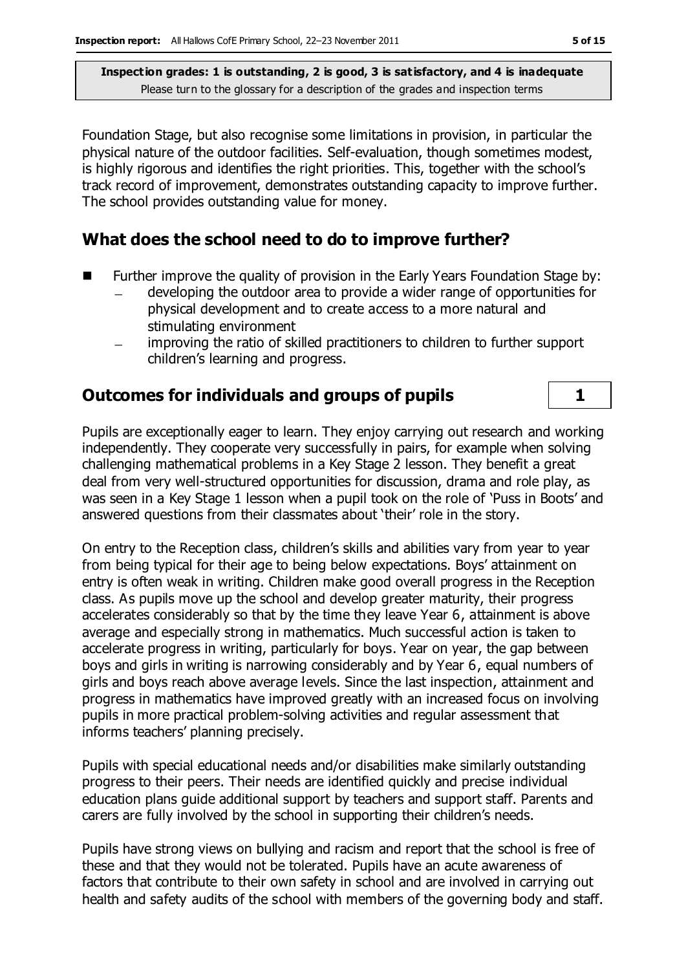Foundation Stage, but also recognise some limitations in provision, in particular the physical nature of the outdoor facilities. Self-evaluation, though sometimes modest, is highly rigorous and identifies the right priorities. This, together with the school's track record of improvement, demonstrates outstanding capacity to improve further. The school provides outstanding value for money.

#### **What does the school need to do to improve further?**

- Further improve the quality of provision in the Early Years Foundation Stage by:
	- developing the outdoor area to provide a wider range of opportunities for physical development and to create access to a more natural and stimulating environment
	- improving the ratio of skilled practitioners to children to further support children's learning and progress.

#### **Outcomes for individuals and groups of pupils 1**

Pupils are exceptionally eager to learn. They enjoy carrying out research and working independently. They cooperate very successfully in pairs, for example when solving challenging mathematical problems in a Key Stage 2 lesson. They benefit a great deal from very well-structured opportunities for discussion, drama and role play, as was seen in a Key Stage 1 lesson when a pupil took on the role of 'Puss in Boots' and answered questions from their classmates about 'their' role in the story.

On entry to the Reception class, children's skills and abilities vary from year to year from being typical for their age to being below expectations. Boys' attainment on entry is often weak in writing. Children make good overall progress in the Reception class. As pupils move up the school and develop greater maturity, their progress accelerates considerably so that by the time they leave Year 6, attainment is above average and especially strong in mathematics. Much successful action is taken to accelerate progress in writing, particularly for boys. Year on year, the gap between boys and girls in writing is narrowing considerably and by Year 6, equal numbers of girls and boys reach above average levels. Since the last inspection, attainment and progress in mathematics have improved greatly with an increased focus on involving pupils in more practical problem-solving activities and regular assessment that informs teachers' planning precisely.

Pupils with special educational needs and/or disabilities make similarly outstanding progress to their peers. Their needs are identified quickly and precise individual education plans guide additional support by teachers and support staff. Parents and carers are fully involved by the school in supporting their children's needs.

Pupils have strong views on bullying and racism and report that the school is free of these and that they would not be tolerated. Pupils have an acute awareness of factors that contribute to their own safety in school and are involved in carrying out health and safety audits of the school with members of the governing body and staff.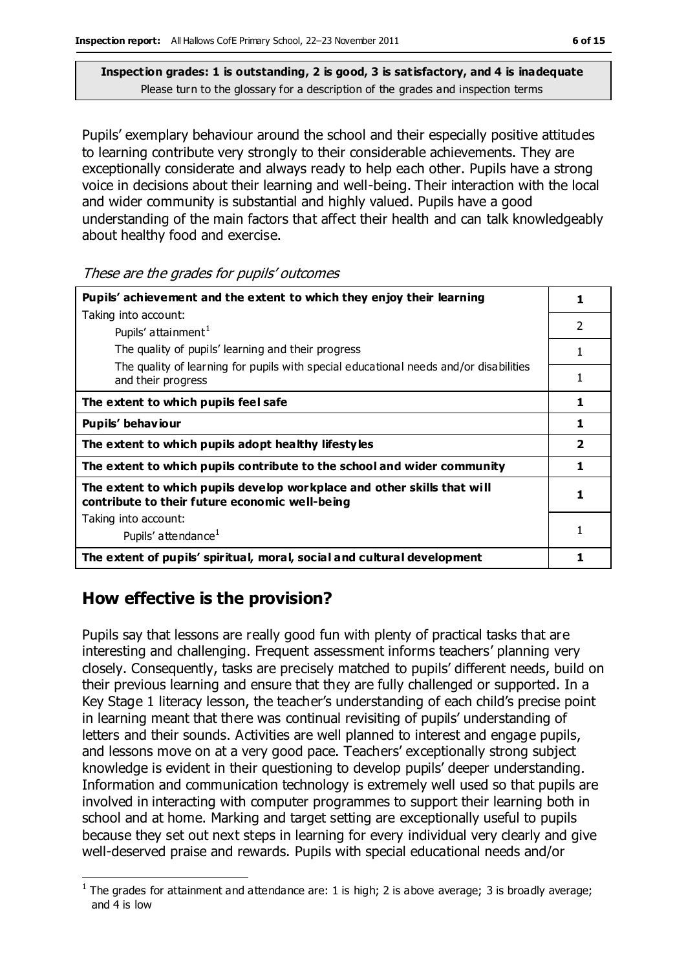Pupils' exemplary behaviour around the school and their especially positive attitudes to learning contribute very strongly to their considerable achievements. They are exceptionally considerate and always ready to help each other. Pupils have a strong voice in decisions about their learning and well-being. Their interaction with the local and wider community is substantial and highly valued. Pupils have a good understanding of the main factors that affect their health and can talk knowledgeably about healthy food and exercise.

These are the grades for pupils' outcomes

| Pupils' achievement and the extent to which they enjoy their learning                                                     |                |
|---------------------------------------------------------------------------------------------------------------------------|----------------|
| Taking into account:                                                                                                      |                |
| Pupils' attainment <sup>1</sup>                                                                                           | 2              |
| The quality of pupils' learning and their progress                                                                        |                |
| The quality of learning for pupils with special educational needs and/or disabilities<br>and their progress               |                |
| The extent to which pupils feel safe                                                                                      | 1              |
| Pupils' behaviour                                                                                                         |                |
| The extent to which pupils adopt healthy lifestyles                                                                       | $\overline{2}$ |
| The extent to which pupils contribute to the school and wider community                                                   | 1              |
| The extent to which pupils develop workplace and other skills that will<br>contribute to their future economic well-being | 1              |
| Taking into account:                                                                                                      |                |
| Pupils' attendance <sup>1</sup>                                                                                           |                |
| The extent of pupils' spiritual, moral, social and cultural development                                                   |                |

#### **How effective is the provision?**

Pupils say that lessons are really good fun with plenty of practical tasks that are interesting and challenging. Frequent assessment informs teachers' planning very closely. Consequently, tasks are precisely matched to pupils' different needs, build on their previous learning and ensure that they are fully challenged or supported. In a Key Stage 1 literacy lesson, the teacher's understanding of each child's precise point in learning meant that there was continual revisiting of pupils' understanding of letters and their sounds. Activities are well planned to interest and engage pupils, and lessons move on at a very good pace. Teachers' exceptionally strong subject knowledge is evident in their questioning to develop pupils' deeper understanding. Information and communication technology is extremely well used so that pupils are involved in interacting with computer programmes to support their learning both in school and at home. Marking and target setting are exceptionally useful to pupils because they set out next steps in learning for every individual very clearly and give well-deserved praise and rewards. Pupils with special educational needs and/or

 $\overline{a}$ <sup>1</sup> The grades for attainment and attendance are: 1 is high; 2 is above average; 3 is broadly average; and 4 is low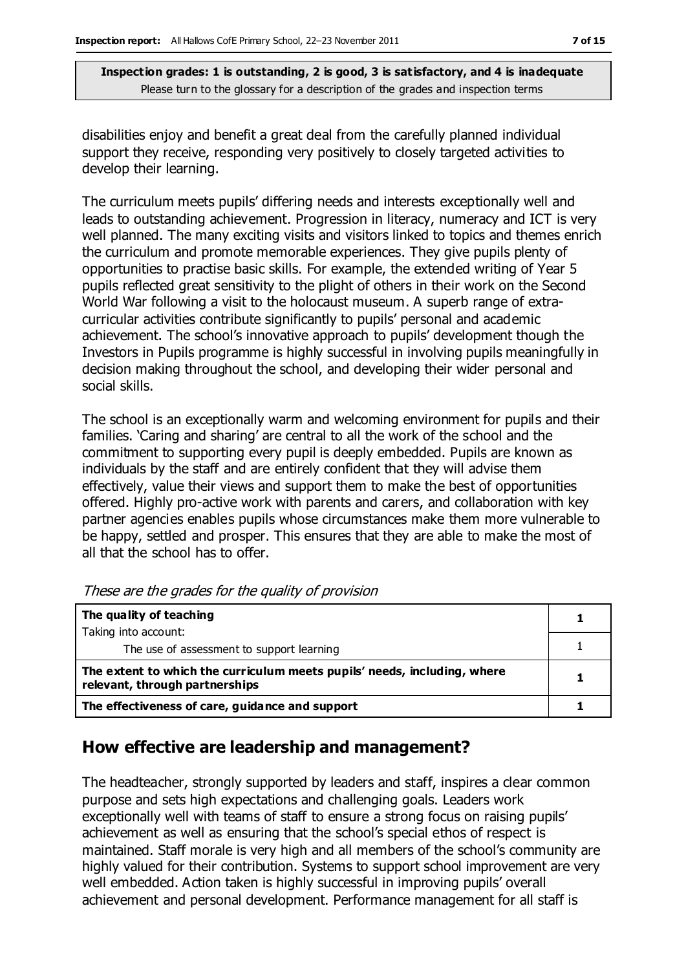disabilities enjoy and benefit a great deal from the carefully planned individual support they receive, responding very positively to closely targeted activities to develop their learning.

The curriculum meets pupils' differing needs and interests exceptionally well and leads to outstanding achievement. Progression in literacy, numeracy and ICT is very well planned. The many exciting visits and visitors linked to topics and themes enrich the curriculum and promote memorable experiences. They give pupils plenty of opportunities to practise basic skills. For example, the extended writing of Year 5 pupils reflected great sensitivity to the plight of others in their work on the Second World War following a visit to the holocaust museum. A superb range of extracurricular activities contribute significantly to pupils' personal and academic achievement. The school's innovative approach to pupils' development though the Investors in Pupils programme is highly successful in involving pupils meaningfully in decision making throughout the school, and developing their wider personal and social skills.

The school is an exceptionally warm and welcoming environment for pupils and their families. 'Caring and sharing' are central to all the work of the school and the commitment to supporting every pupil is deeply embedded. Pupils are known as individuals by the staff and are entirely confident that they will advise them effectively, value their views and support them to make the best of opportunities offered. Highly pro-active work with parents and carers, and collaboration with key partner agencies enables pupils whose circumstances make them more vulnerable to be happy, settled and prosper. This ensures that they are able to make the most of all that the school has to offer.

| The quality of teaching                                                                                    |  |
|------------------------------------------------------------------------------------------------------------|--|
| Taking into account:                                                                                       |  |
| The use of assessment to support learning                                                                  |  |
| The extent to which the curriculum meets pupils' needs, including, where<br>relevant, through partnerships |  |
| The effectiveness of care, guidance and support                                                            |  |

These are the grades for the quality of provision

#### **How effective are leadership and management?**

The headteacher, strongly supported by leaders and staff, inspires a clear common purpose and sets high expectations and challenging goals. Leaders work exceptionally well with teams of staff to ensure a strong focus on raising pupils' achievement as well as ensuring that the school's special ethos of respect is maintained. Staff morale is very high and all members of the school's community are highly valued for their contribution. Systems to support school improvement are very well embedded. Action taken is highly successful in improving pupils' overall achievement and personal development. Performance management for all staff is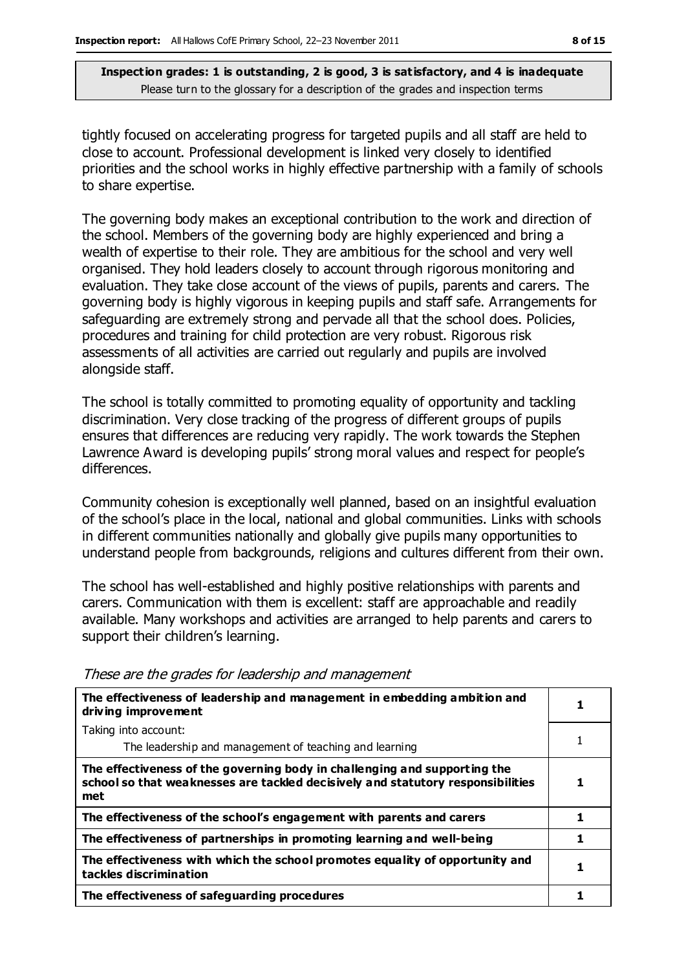tightly focused on accelerating progress for targeted pupils and all staff are held to close to account. Professional development is linked very closely to identified priorities and the school works in highly effective partnership with a family of schools to share expertise.

The governing body makes an exceptional contribution to the work and direction of the school. Members of the governing body are highly experienced and bring a wealth of expertise to their role. They are ambitious for the school and very well organised. They hold leaders closely to account through rigorous monitoring and evaluation. They take close account of the views of pupils, parents and carers. The governing body is highly vigorous in keeping pupils and staff safe. Arrangements for safeguarding are extremely strong and pervade all that the school does. Policies, procedures and training for child protection are very robust. Rigorous risk assessments of all activities are carried out regularly and pupils are involved alongside staff.

The school is totally committed to promoting equality of opportunity and tackling discrimination. Very close tracking of the progress of different groups of pupils ensures that differences are reducing very rapidly. The work towards the Stephen Lawrence Award is developing pupils' strong moral values and respect for people's differences.

Community cohesion is exceptionally well planned, based on an insightful evaluation of the school's place in the local, national and global communities. Links with schools in different communities nationally and globally give pupils many opportunities to understand people from backgrounds, religions and cultures different from their own.

The school has well-established and highly positive relationships with parents and carers. Communication with them is excellent: staff are approachable and readily available. Many workshops and activities are arranged to help parents and carers to support their children's learning.

| The effectiveness of leadership and management in embedding ambition and<br>driving improvement                                                                     |   |
|---------------------------------------------------------------------------------------------------------------------------------------------------------------------|---|
| Taking into account:                                                                                                                                                |   |
| The leadership and management of teaching and learning                                                                                                              |   |
| The effectiveness of the governing body in challenging and supporting the<br>school so that weaknesses are tackled decisively and statutory responsibilities<br>met |   |
| The effectiveness of the school's engagement with parents and carers                                                                                                | 1 |
| The effectiveness of partnerships in promoting learning and well-being                                                                                              |   |
| The effectiveness with which the school promotes equality of opportunity and<br>tackles discrimination                                                              |   |
| The effectiveness of safeguarding procedures                                                                                                                        |   |

These are the grades for leadership and management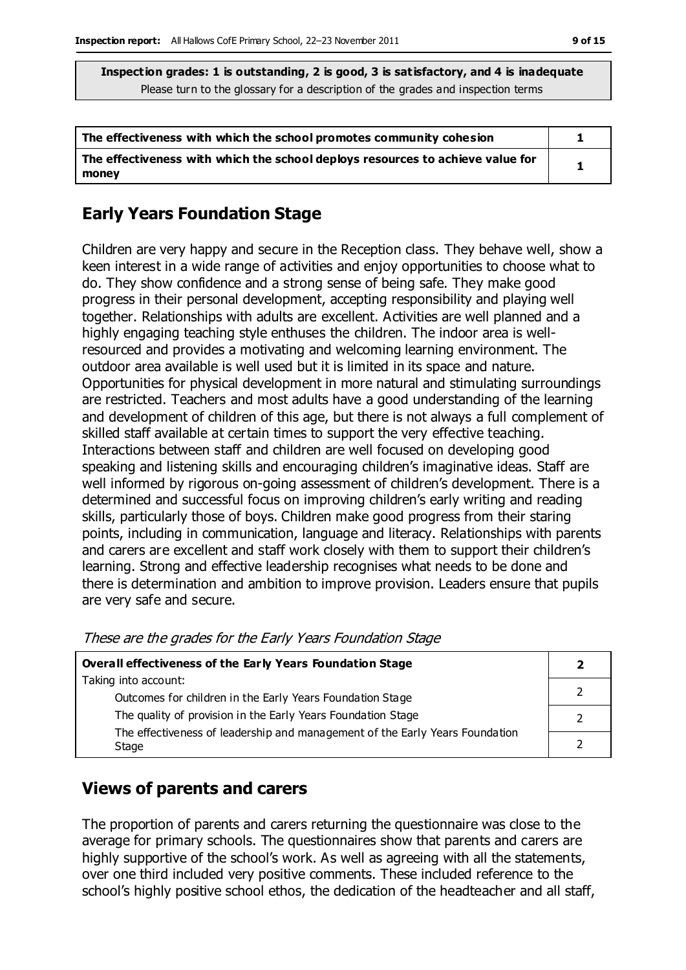| The effectiveness with which the school promotes community cohesion                     |  |
|-----------------------------------------------------------------------------------------|--|
| The effectiveness with which the school deploys resources to achieve value for<br>money |  |

## **Early Years Foundation Stage**

Children are very happy and secure in the Reception class. They behave well, show a keen interest in a wide range of activities and enjoy opportunities to choose what to do. They show confidence and a strong sense of being safe. They make good progress in their personal development, accepting responsibility and playing well together. Relationships with adults are excellent. Activities are well planned and a highly engaging teaching style enthuses the children. The indoor area is wellresourced and provides a motivating and welcoming learning environment. The outdoor area available is well used but it is limited in its space and nature. Opportunities for physical development in more natural and stimulating surroundings are restricted. Teachers and most adults have a good understanding of the learning and development of children of this age, but there is not always a full complement of skilled staff available at certain times to support the very effective teaching. Interactions between staff and children are well focused on developing good speaking and listening skills and encouraging children's imaginative ideas. Staff are well informed by rigorous on-going assessment of children's development. There is a determined and successful focus on improving children's early writing and reading skills, particularly those of boys. Children make good progress from their staring points, including in communication, language and literacy. Relationships with parents and carers are excellent and staff work closely with them to support their children's learning. Strong and effective leadership recognises what needs to be done and there is determination and ambition to improve provision. Leaders ensure that pupils are very safe and secure.

| Overall effectiveness of the Early Years Foundation Stage                    |  |
|------------------------------------------------------------------------------|--|
| Taking into account:                                                         |  |
| Outcomes for children in the Early Years Foundation Stage                    |  |
| The quality of provision in the Early Years Foundation Stage                 |  |
| The effectiveness of leadership and management of the Early Years Foundation |  |
| Stage                                                                        |  |

These are the grades for the Early Years Foundation Stage

## **Views of parents and carers**

The proportion of parents and carers returning the questionnaire was close to the average for primary schools. The questionnaires show that parents and carers are highly supportive of the school's work. As well as agreeing with all the statements, over one third included very positive comments. These included reference to the school's highly positive school ethos, the dedication of the headteacher and all staff,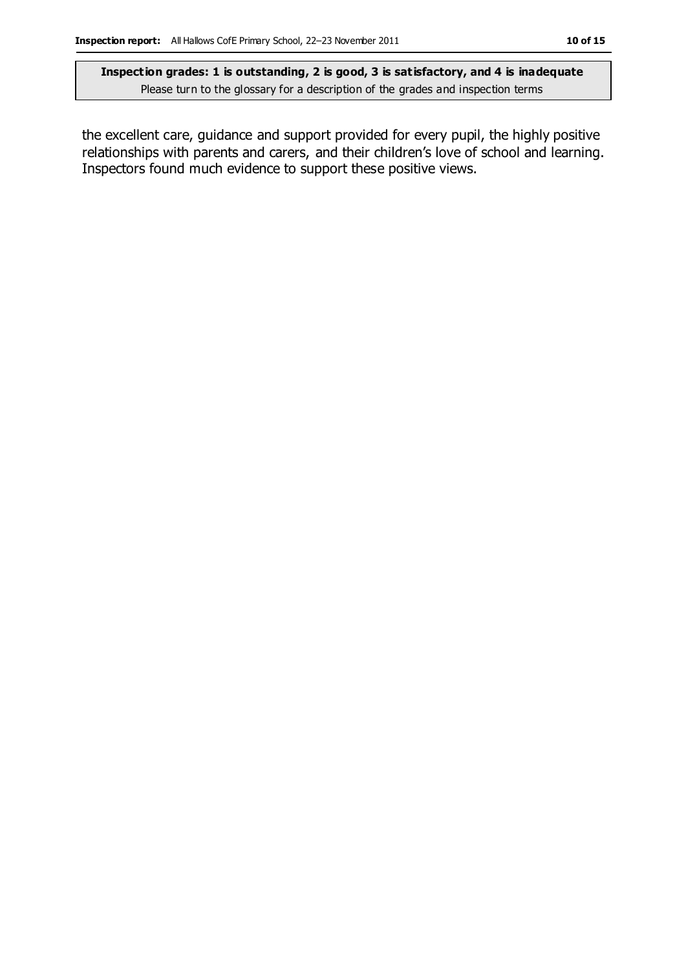the excellent care, guidance and support provided for every pupil, the highly positive relationships with parents and carers, and their children's love of school and learning. Inspectors found much evidence to support these positive views.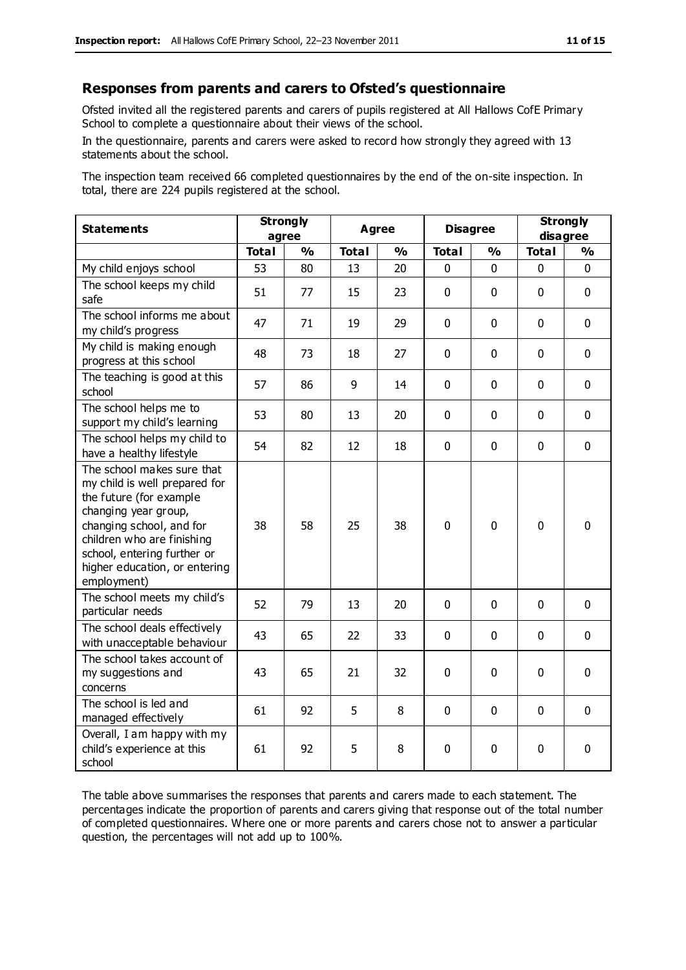#### **Responses from parents and carers to Ofsted's questionnaire**

Ofsted invited all the registered parents and carers of pupils registered at All Hallows CofE Primary School to complete a questionnaire about their views of the school.

In the questionnaire, parents and carers were asked to record how strongly they agreed with 13 statements about the school.

The inspection team received 66 completed questionnaires by the end of the on-site inspection. In total, there are 224 pupils registered at the school.

| <b>Statements</b>                                                                                                                                                                                                                                       | <b>Strongly</b><br>agree |               | Agree        |               | <b>Disagree</b> |               | <b>Strongly</b><br>disagree |               |
|---------------------------------------------------------------------------------------------------------------------------------------------------------------------------------------------------------------------------------------------------------|--------------------------|---------------|--------------|---------------|-----------------|---------------|-----------------------------|---------------|
|                                                                                                                                                                                                                                                         | <b>Total</b>             | $\frac{1}{2}$ | <b>Total</b> | $\frac{1}{2}$ | <b>Total</b>    | $\frac{1}{2}$ | <b>Total</b>                | $\frac{1}{2}$ |
| My child enjoys school                                                                                                                                                                                                                                  | 53                       | 80            | 13           | 20            | 0               | 0             | $\mathbf 0$                 | $\mathbf 0$   |
| The school keeps my child<br>safe                                                                                                                                                                                                                       | 51                       | 77            | 15           | 23            | $\mathbf{0}$    | $\mathbf 0$   | $\mathbf 0$                 | $\mathbf 0$   |
| The school informs me about<br>my child's progress                                                                                                                                                                                                      | 47                       | 71            | 19           | 29            | $\mathbf 0$     | $\mathbf 0$   | $\mathbf 0$                 | $\mathbf 0$   |
| My child is making enough<br>progress at this school                                                                                                                                                                                                    | 48                       | 73            | 18           | 27            | 0               | 0             | $\mathbf 0$                 | $\mathbf 0$   |
| The teaching is good at this<br>school                                                                                                                                                                                                                  | 57                       | 86            | 9            | 14            | 0               | $\mathbf 0$   | $\mathbf 0$                 | $\mathbf 0$   |
| The school helps me to<br>support my child's learning                                                                                                                                                                                                   | 53                       | 80            | 13           | 20            | 0               | $\Omega$      | $\Omega$                    | $\mathbf 0$   |
| The school helps my child to<br>have a healthy lifestyle                                                                                                                                                                                                | 54                       | 82            | 12           | 18            | $\pmb{0}$       | $\mathbf 0$   | $\mathbf 0$                 | $\mathbf 0$   |
| The school makes sure that<br>my child is well prepared for<br>the future (for example<br>changing year group,<br>changing school, and for<br>children who are finishing<br>school, entering further or<br>higher education, or entering<br>employment) | 38                       | 58            | 25           | 38            | 0               | $\mathbf 0$   | $\mathbf{0}$                | 0             |
| The school meets my child's<br>particular needs                                                                                                                                                                                                         | 52                       | 79            | 13           | 20            | $\mathbf{0}$    | $\mathbf 0$   | $\mathbf 0$                 | $\mathbf 0$   |
| The school deals effectively<br>with unacceptable behaviour                                                                                                                                                                                             | 43                       | 65            | 22           | 33            | 0               | 0             | $\mathbf 0$                 | $\mathbf 0$   |
| The school takes account of<br>my suggestions and<br>concerns                                                                                                                                                                                           | 43                       | 65            | 21           | 32            | $\mathbf 0$     | $\mathbf 0$   | $\mathbf 0$                 | $\mathbf 0$   |
| The school is led and<br>managed effectively                                                                                                                                                                                                            | 61                       | 92            | 5            | 8             | $\pmb{0}$       | $\mathbf 0$   | $\mathbf 0$                 | $\mathbf 0$   |
| Overall, I am happy with my<br>child's experience at this<br>school                                                                                                                                                                                     | 61                       | 92            | 5            | 8             | 0               | $\mathbf 0$   | $\mathbf 0$                 | 0             |

The table above summarises the responses that parents and carers made to each statement. The percentages indicate the proportion of parents and carers giving that response out of the total number of completed questionnaires. Where one or more parents and carers chose not to answer a particular question, the percentages will not add up to 100%.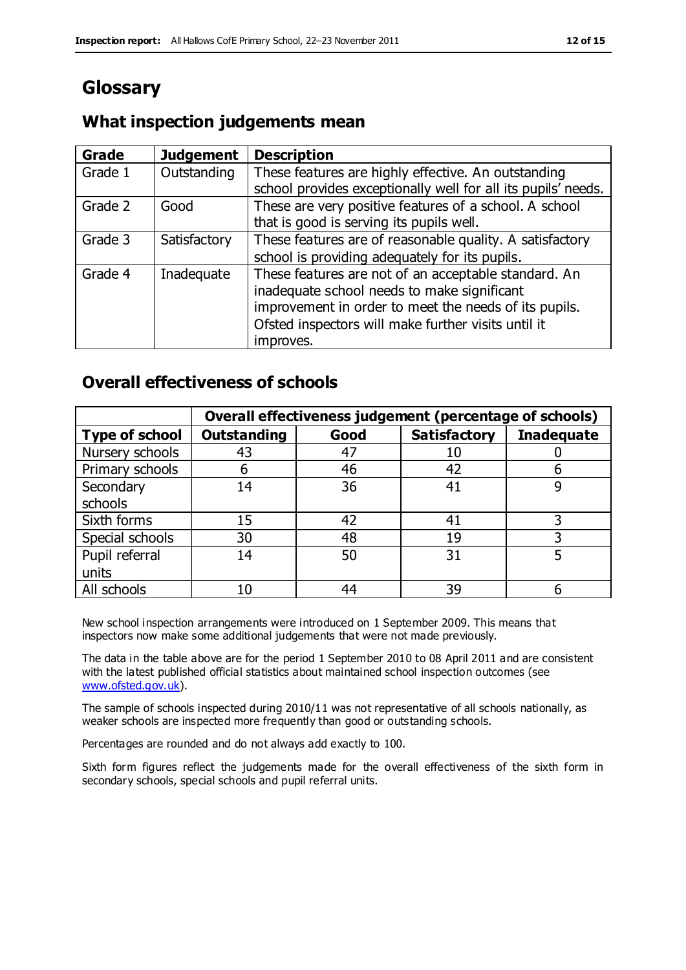## **Glossary**

#### **What inspection judgements mean**

| Grade   | <b>Judgement</b> | <b>Description</b>                                                                                                                                                                                                               |
|---------|------------------|----------------------------------------------------------------------------------------------------------------------------------------------------------------------------------------------------------------------------------|
| Grade 1 | Outstanding      | These features are highly effective. An outstanding<br>school provides exceptionally well for all its pupils' needs.                                                                                                             |
| Grade 2 | Good             | These are very positive features of a school. A school<br>that is good is serving its pupils well.                                                                                                                               |
| Grade 3 | Satisfactory     | These features are of reasonable quality. A satisfactory<br>school is providing adequately for its pupils.                                                                                                                       |
| Grade 4 | Inadequate       | These features are not of an acceptable standard. An<br>inadequate school needs to make significant<br>improvement in order to meet the needs of its pupils.<br>Ofsted inspectors will make further visits until it<br>improves. |

#### **Overall effectiveness of schools**

|                       | Overall effectiveness judgement (percentage of schools) |      |                     |                   |
|-----------------------|---------------------------------------------------------|------|---------------------|-------------------|
| <b>Type of school</b> | <b>Outstanding</b>                                      | Good | <b>Satisfactory</b> | <b>Inadequate</b> |
| Nursery schools       | 43                                                      | 47   | 10                  |                   |
| Primary schools       | 6                                                       | 46   | 42                  |                   |
| Secondary             | 14                                                      | 36   | 41                  |                   |
| schools               |                                                         |      |                     |                   |
| Sixth forms           | 15                                                      | 42   | 41                  | 3                 |
| Special schools       | 30                                                      | 48   | 19                  |                   |
| Pupil referral        | 14                                                      | 50   | 31                  |                   |
| units                 |                                                         |      |                     |                   |
| All schools           | 10                                                      | 44   | 39                  |                   |

New school inspection arrangements were introduced on 1 September 2009. This means that inspectors now make some additional judgements that were not made previously.

The data in the table above are for the period 1 September 2010 to 08 April 2011 and are consistent with the latest published official statistics about maintained school inspection outcomes (see [www.ofsted.gov.uk\)](http://www.ofsted.gov.uk/).

The sample of schools inspected during 2010/11 was not representative of all schools nationally, as weaker schools are inspected more frequently than good or outstanding schools.

Percentages are rounded and do not always add exactly to 100.

Sixth form figures reflect the judgements made for the overall effectiveness of the sixth form in secondary schools, special schools and pupil referral units.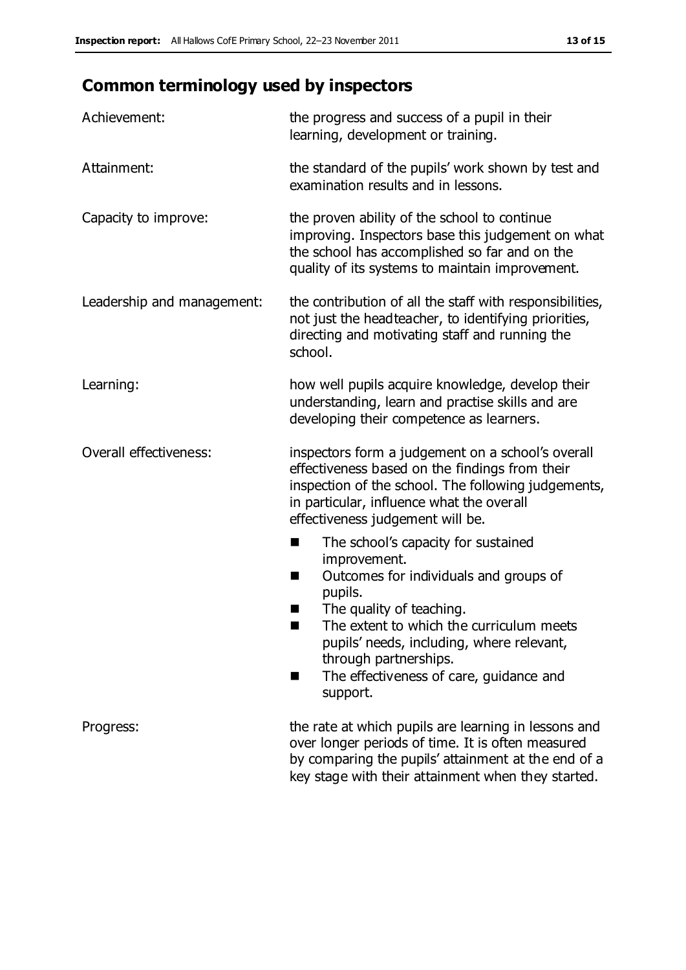# **Common terminology used by inspectors**

| Achievement:               | the progress and success of a pupil in their<br>learning, development or training.                                                                                                                                                                                                                                           |  |  |
|----------------------------|------------------------------------------------------------------------------------------------------------------------------------------------------------------------------------------------------------------------------------------------------------------------------------------------------------------------------|--|--|
| Attainment:                | the standard of the pupils' work shown by test and<br>examination results and in lessons.                                                                                                                                                                                                                                    |  |  |
| Capacity to improve:       | the proven ability of the school to continue<br>improving. Inspectors base this judgement on what<br>the school has accomplished so far and on the<br>quality of its systems to maintain improvement.                                                                                                                        |  |  |
| Leadership and management: | the contribution of all the staff with responsibilities,<br>not just the headteacher, to identifying priorities,<br>directing and motivating staff and running the<br>school.                                                                                                                                                |  |  |
| Learning:                  | how well pupils acquire knowledge, develop their<br>understanding, learn and practise skills and are<br>developing their competence as learners.                                                                                                                                                                             |  |  |
| Overall effectiveness:     | inspectors form a judgement on a school's overall<br>effectiveness based on the findings from their<br>inspection of the school. The following judgements,<br>in particular, influence what the overall<br>effectiveness judgement will be.                                                                                  |  |  |
|                            | The school's capacity for sustained<br>×<br>improvement.<br>Outcomes for individuals and groups of<br>п<br>pupils.<br>The quality of teaching.<br>The extent to which the curriculum meets<br>pupils' needs, including, where relevant,<br>through partnerships.<br>The effectiveness of care, guidance and<br>ш<br>support. |  |  |
| Progress:                  | the rate at which pupils are learning in lessons and<br>over longer periods of time. It is often measured<br>by comparing the pupils' attainment at the end of a<br>key stage with their attainment when they started.                                                                                                       |  |  |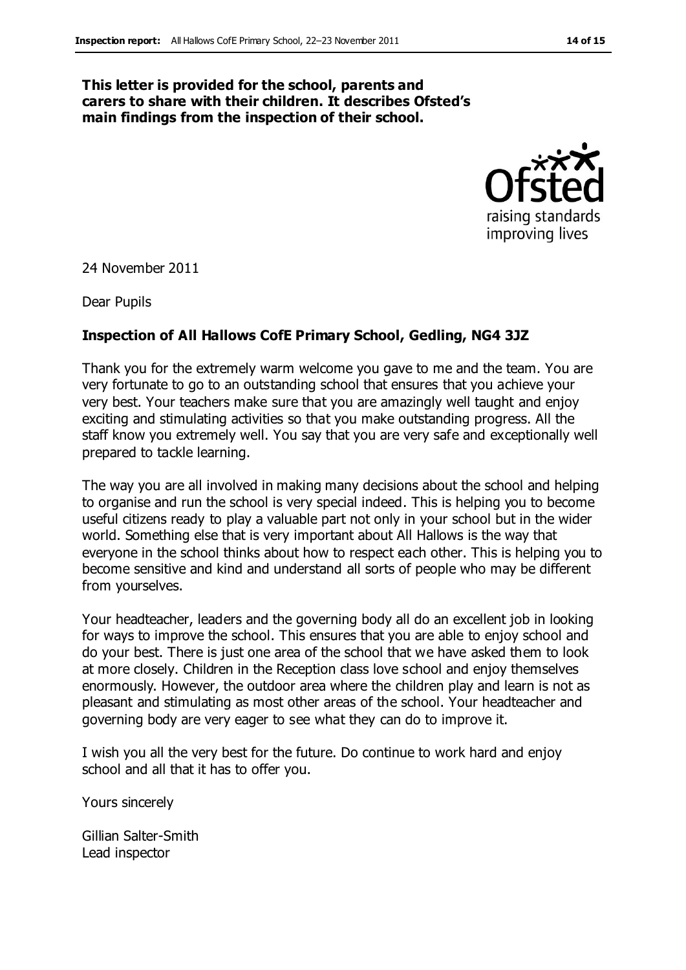#### **This letter is provided for the school, parents and carers to share with their children. It describes Ofsted's main findings from the inspection of their school.**



24 November 2011

Dear Pupils

#### **Inspection of All Hallows CofE Primary School, Gedling, NG4 3JZ**

Thank you for the extremely warm welcome you gave to me and the team. You are very fortunate to go to an outstanding school that ensures that you achieve your very best. Your teachers make sure that you are amazingly well taught and enjoy exciting and stimulating activities so that you make outstanding progress. All the staff know you extremely well. You say that you are very safe and exceptionally well prepared to tackle learning.

The way you are all involved in making many decisions about the school and helping to organise and run the school is very special indeed. This is helping you to become useful citizens ready to play a valuable part not only in your school but in the wider world. Something else that is very important about All Hallows is the way that everyone in the school thinks about how to respect each other. This is helping you to become sensitive and kind and understand all sorts of people who may be different from yourselves.

Your headteacher, leaders and the governing body all do an excellent job in looking for ways to improve the school. This ensures that you are able to enjoy school and do your best. There is just one area of the school that we have asked them to look at more closely. Children in the Reception class love school and enjoy themselves enormously. However, the outdoor area where the children play and learn is not as pleasant and stimulating as most other areas of the school. Your headteacher and governing body are very eager to see what they can do to improve it.

I wish you all the very best for the future. Do continue to work hard and enjoy school and all that it has to offer you.

Yours sincerely

Gillian Salter-Smith Lead inspector